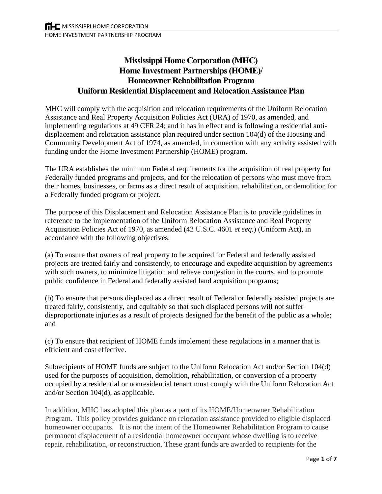# **Mississippi Home Corporation (MHC) Home Investment Partnerships (HOME)/ Homeowner Rehabilitation Program Uniform Residential Displacement and Relocation Assistance Plan**

MHC will comply with the acquisition and relocation requirements of the Uniform Relocation Assistance and Real Property Acquisition Policies Act (URA) of 1970, as amended, and implementing regulations at 49 CFR 24; and it has in effect and is following a residential antidisplacement and relocation assistance plan required under section 104(d) of the Housing and Community Development Act of 1974, as amended, in connection with any activity assisted with funding under the Home Investment Partnership (HOME) program.

The URA establishes the minimum Federal requirements for the acquisition of real property for Federally funded programs and projects, and for the relocation of persons who must move from their homes, businesses, or farms as a direct result of acquisition, rehabilitation, or demolition for a Federally funded program or project.

The purpose of this Displacement and Relocation Assistance Plan is to provide guidelines in reference to the implementation of the Uniform Relocation Assistance and Real Property Acquisition Policies Act of 1970, as amended (42 U.S.C. 4601 *et seq.*) (Uniform Act), in accordance with the following objectives:

(a) To ensure that owners of real property to be acquired for Federal and federally assisted projects are treated fairly and consistently, to encourage and expedite acquisition by agreements with such owners, to minimize litigation and relieve congestion in the courts, and to promote public confidence in Federal and federally assisted land acquisition programs;

(b) To ensure that persons displaced as a direct result of Federal or federally assisted projects are treated fairly, consistently, and equitably so that such displaced persons will not suffer disproportionate injuries as a result of projects designed for the benefit of the public as a whole; and

(c) To ensure that recipient of HOME funds implement these regulations in a manner that is efficient and cost effective.

Subrecipients of HOME funds are subject to the Uniform Relocation Act and/or Section 104(d) used for the purposes of acquisition, demolition, rehabilitation, or conversion of a property occupied by a residential or nonresidential tenant must comply with the Uniform Relocation Act and/or Section 104(d), as applicable.

In addition, MHC has adopted this plan as a part of its HOME/Homeowner Rehabilitation Program. This policy provides guidance on relocation assistance provided to eligible displaced homeowner occupants. It is not the intent of the Homeowner Rehabilitation Program to cause permanent displacement of a residential homeowner occupant whose dwelling is to receive repair, rehabilitation, or reconstruction. These grant funds are awarded to recipients for the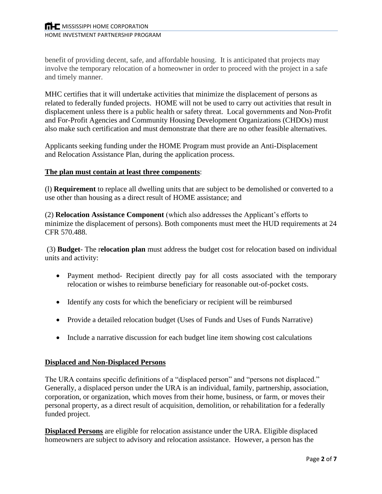benefit of providing decent, safe, and affordable housing. It is anticipated that projects may involve the temporary relocation of a homeowner in order to proceed with the project in a safe and timely manner.

MHC certifies that it will undertake activities that minimize the displacement of persons as related to federally funded projects. HOME will not be used to carry out activities that result in displacement unless there is a public health or safety threat. Local governments and Non-Profit and For-Profit Agencies and Community Housing Development Organizations (CHDOs) must also make such certification and must demonstrate that there are no other feasible alternatives.

Applicants seeking funding under the HOME Program must provide an Anti-Displacement and Relocation Assistance Plan, during the application process.

## **The plan must contain at least three components**:

(l) **Requirement** to replace all dwelling units that are subject to be demolished or converted to a use other than housing as a direct result of HOME assistance; and

(2) **Relocation Assistance Component** (which also addresses the Applicant's efforts to minimize the displacement of persons). Both components must meet the HUD requirements at 24 CFR 570.488.

(3) **Budget**- The r**elocation plan** must address the budget cost for relocation based on individual units and activity:

- Payment method- Recipient directly pay for all costs associated with the temporary relocation or wishes to reimburse beneficiary for reasonable out-of-pocket costs.
- Identify any costs for which the beneficiary or recipient will be reimbursed
- Provide a detailed relocation budget (Uses of Funds and Uses of Funds Narrative)
- Include a narrative discussion for each budget line item showing cost calculations

## **Displaced and Non-Displaced Persons**

The URA contains specific definitions of a "displaced person" and "persons not displaced." Generally, a displaced person under the URA is an individual, family, partnership, association, corporation, or organization, which moves from their home, business, or farm, or moves their personal property, as a direct result of acquisition, demolition, or rehabilitation for a federally funded project.

**Displaced Persons** are eligible for relocation assistance under the URA. Eligible displaced homeowners are subject to advisory and relocation assistance. However, a person has the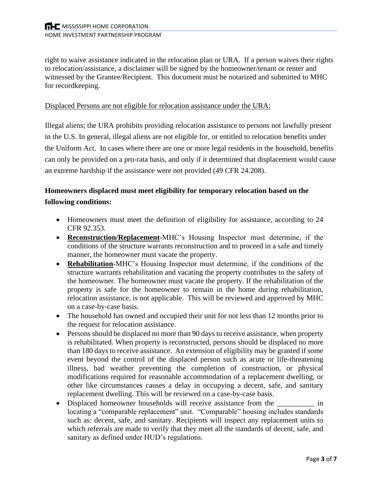right to waive assistance indicated in the relocation plan or URA. If a person waives their rights to relocation/assistance, a disclaimer will be signed by the homeowner/tenant or renter and witnessed by the Grantee/Recipient. This document must be notarized and submitted to MHC for recordkeeping.

#### Displaced Persons are not eligible for relocation assistance under the URA:

Illegal aliens; the URA prohibits providing relocation assistance to persons not lawfully present in the U.S. In general, illegal aliens are not eligible for, or entitled to relocation benefits under the Uniform Act. In cases where there are one or more legal residents in the household, benefits can only be provided on a pro-rata basis, and only if it determined that displacement would cause an extreme hardship if the assistance were not provided (49 CFR 24.208).

# **Homeowners displaced must meet eligibility for temporary relocation based on the following conditions:**

- Homeowners must meet the definition of eligibility for assistance, according to 24 CFR 92.353.
- **Reconstruction/Replacement**-MHC's Housing Inspector must determine, if the conditions of the structure warrants reconstruction and to proceed in a safe and timely manner, the homeowner must vacate the property.
- **Rehabilitation**-MHC's Housing Inspector must determine, if the conditions of the structure warrants rehabilitation and vacating the property contributes to the safety of the homeowner. The homeowner must vacate the property. If the rehabilitation of the property is safe for the homeowner to remain in the home during rehabilitation, relocation assistance, is not applicable. This will be reviewed and approved by MHC on a case-by-case basis.
- The household has owned and occupied their unit for not less than 12 months prior to the request for relocation assistance.
- Persons should be displaced no more than 90 days to receive assistance, when property is rehabilitated. When property is reconstructed, persons should be displaced no more than 180 days to receive assistance. An extension of eligibility may be granted if some event beyond the control of the displaced person such as acute or life-threatening illness, bad weather preventing the completion of construction, or physical modifications required for reasonable accommodation of a replacement dwelling, or other like circumstances causes a delay in occupying a decent, safe, and sanitary replacement dwelling. This will be reviewed on a case-by-case basis.
- Displaced homeowner households will receive assistance from the  $\qquad \qquad$  in locating a "comparable replacement" unit. "Comparable" housing includes standards such as: decent, safe, and sanitary. Recipients will inspect any replacement units to which referrals are made to verify that they meet all the standards of decent, safe, and sanitary as defined under HUD's regulations.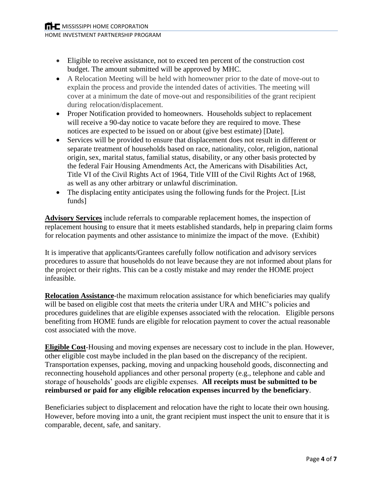- Eligible to receive assistance, not to exceed ten percent of the construction cost budget. The amount submitted will be approved by MHC.
- A Relocation Meeting will be held with homeowner prior to the date of move-out to explain the process and provide the intended dates of activities. The meeting will cover at a minimum the date of move-out and responsibilities of the grant recipient during relocation/displacement.
- Proper Notification provided to homeowners. Households subject to replacement will receive a 90-day notice to vacate before they are required to move. These notices are expected to be issued on or about (give best estimate) [Date].
- Services will be provided to ensure that displacement does not result in different or separate treatment of households based on race, nationality, color, religion, national origin, sex, marital status, familial status, disability, or any other basis protected by the federal Fair Housing Amendments Act, the Americans with Disabilities Act, Title VI of the Civil Rights Act of 1964, Title VIII of the Civil Rights Act of 1968, as well as any other arbitrary or unlawful discrimination.
- The displacing entity anticipates using the following funds for the Project. [List] funds]

**Advisory Services** include referrals to comparable replacement homes, the inspection of replacement housing to ensure that it meets established standards, help in preparing claim forms for relocation payments and other assistance to minimize the impact of the move. (Exhibit)

It is imperative that applicants/Grantees carefully follow notification and advisory services procedures to assure that households do not leave because they are not informed about plans for the project or their rights. This can be a costly mistake and may render the HOME project infeasible.

**Relocation Assistance**-the maximum relocation assistance for which beneficiaries may qualify will be based on eligible cost that meets the criteria under URA and MHC's policies and procedures guidelines that are eligible expenses associated with the relocation. Eligible persons benefiting from HOME funds are eligible for relocation payment to cover the actual reasonable cost associated with the move.

**Eligible Cost**-Housing and moving expenses are necessary cost to include in the plan. However, other eligible cost maybe included in the plan based on the discrepancy of the recipient. Transportation expenses, packing, moving and unpacking household goods, disconnecting and reconnecting household appliances and other personal property (e.g., telephone and cable and storage of households' goods are eligible expenses. **All receipts must be submitted to be reimbursed or paid for any eligible relocation expenses incurred by the beneficiary**.

Beneficiaries subject to displacement and relocation have the right to locate their own housing. However, before moving into a unit, the grant recipient must inspect the unit to ensure that it is comparable, decent, safe, and sanitary.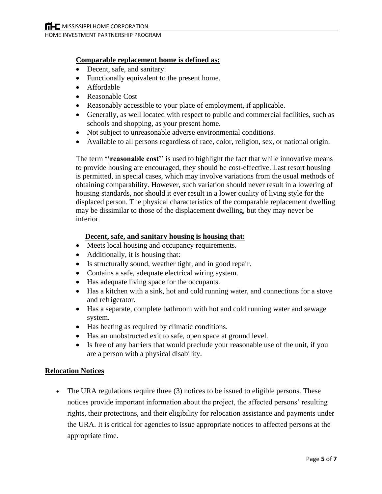## **Comparable replacement home is defined as:**

- Decent, safe, and sanitary.
- Functionally equivalent to the present home.
- Affordable
- Reasonable Cost
- Reasonably accessible to your place of employment, if applicable.
- Generally, as well located with respect to public and commercial facilities, such as schools and shopping, as your present home.
- Not subject to unreasonable adverse environmental conditions.
- Available to all persons regardless of race, color, religion, sex, or national origin.

The term **''reasonable cost''** is used to highlight the fact that while innovative means to provide housing are encouraged, they should be cost-effective. Last resort housing is permitted, in special cases, which may involve variations from the usual methods of obtaining comparability. However, such variation should never result in a lowering of housing standards, nor should it ever result in a lower quality of living style for the displaced person. The physical characteristics of the comparable replacement dwelling may be dissimilar to those of the displacement dwelling, but they may never be inferior.

## **Decent, safe, and sanitary housing is housing that:**

- Meets local housing and occupancy requirements.
- Additionally, it is housing that:
- Is structurally sound, weather tight, and in good repair.
- Contains a safe, adequate electrical wiring system.
- Has adequate living space for the occupants.
- Has a kitchen with a sink, hot and cold running water, and connections for a stove and refrigerator.
- Has a separate, complete bathroom with hot and cold running water and sewage system.
- Has heating as required by climatic conditions.
- Has an unobstructed exit to safe, open space at ground level.
- Is free of any barriers that would preclude your reasonable use of the unit, if you are a person with a physical disability.

#### **Relocation Notices**

• The URA regulations require three (3) notices to be issued to eligible persons. These notices provide important information about the project, the affected persons' resulting rights, their protections, and their eligibility for relocation assistance and payments under the URA. It is critical for agencies to issue appropriate notices to affected persons at the appropriate time.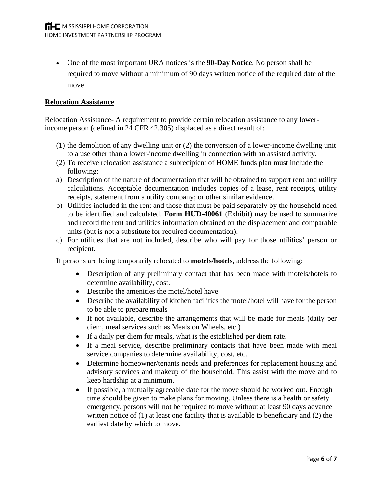• One of the most important URA notices is the **90-Day Notice**. No person shall be required to move without a minimum of 90 days written notice of the required date of the move.

## **Relocation Assistance**

Relocation Assistance- A requirement to provide certain relocation assistance to any lowerincome person (defined in 24 CFR 42.305) displaced as a direct result of:

- (1) the demolition of any dwelling unit or (2) the conversion of a lower-income dwelling unit to a use other than a lower-income dwelling in connection with an assisted activity.
- (2) To receive relocation assistance a subrecipient of HOME funds plan must include the following:
- a) Description of the nature of documentation that will be obtained to support rent and utility calculations. Acceptable documentation includes copies of a lease, rent receipts, utility receipts, statement from a utility company; or other similar evidence.
- b) Utilities included in the rent and those that must be paid separately by the household need to be identified and calculated. **Form HUD-40061** (Exhibit) may be used to summarize and record the rent and utilities information obtained on the displacement and comparable units (but is not a substitute for required documentation).
- c) For utilities that are not included, describe who will pay for those utilities' person or recipient.

If persons are being temporarily relocated to **motels/hotels**, address the following:

- Description of any preliminary contact that has been made with motels/hotels to determine availability, cost.
- Describe the amenities the motel/hotel have
- Describe the availability of kitchen facilities the motel/hotel will have for the person to be able to prepare meals
- If not available, describe the arrangements that will be made for meals (daily per diem, meal services such as Meals on Wheels, etc.)
- If a daily per diem for meals, what is the established per diem rate.
- If a meal service, describe preliminary contacts that have been made with meal service companies to determine availability, cost, etc.
- Determine homeowner/tenants needs and preferences for replacement housing and advisory services and makeup of the household. This assist with the move and to keep hardship at a minimum.
- If possible, a mutually agreeable date for the move should be worked out. Enough time should be given to make plans for moving. Unless there is a health or safety emergency, persons will not be required to move without at least 90 days advance written notice of (1) at least one facility that is available to beneficiary and (2) the earliest date by which to move.